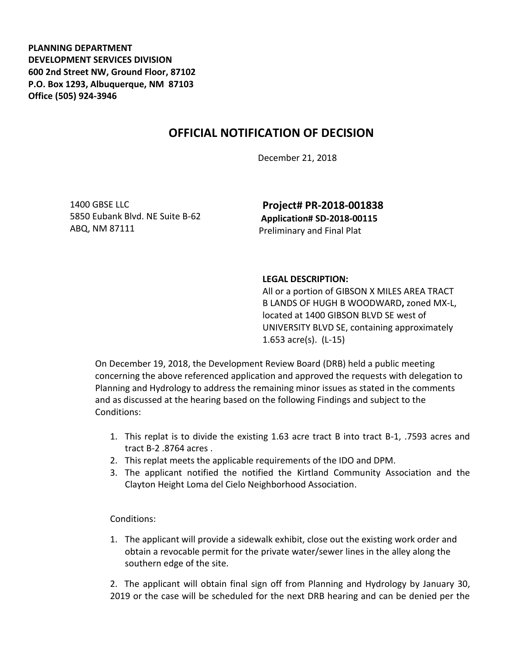**PLANNING DEPARTMENT DEVELOPMENT SERVICES DIVISION 600 2nd Street NW, Ground Floor, 87102 P.O. Box 1293, Albuquerque, NM 87103 Office (505) 924-3946** 

## **OFFICIAL NOTIFICATION OF DECISION**

December 21, 2018

1400 GBSE LLC 5850 Eubank Blvd. NE Suite B-62 ABQ, NM 87111

**Project# PR-2018-001838 Application# SD-2018-00115** Preliminary and Final Plat

## **LEGAL DESCRIPTION:**

All or a portion of GIBSON X MILES AREA TRACT B LANDS OF HUGH B WOODWARD**,** zoned MX-L, located at 1400 GIBSON BLVD SE west of UNIVERSITY BLVD SE, containing approximately 1.653 acre(s). (L-15)

On December 19, 2018, the Development Review Board (DRB) held a public meeting concerning the above referenced application and approved the requests with delegation to Planning and Hydrology to address the remaining minor issues as stated in the comments and as discussed at the hearing based on the following Findings and subject to the Conditions:

- 1. This replat is to divide the existing 1.63 acre tract B into tract B-1, .7593 acres and tract B-2 .8764 acres .
- 2. This replat meets the applicable requirements of the IDO and DPM.
- 3. The applicant notified the notified the Kirtland Community Association and the Clayton Height Loma del Cielo Neighborhood Association.

## Conditions:

1. The applicant will provide a sidewalk exhibit, close out the existing work order and obtain a revocable permit for the private water/sewer lines in the alley along the southern edge of the site.

2. The applicant will obtain final sign off from Planning and Hydrology by January 30, 2019 or the case will be scheduled for the next DRB hearing and can be denied per the